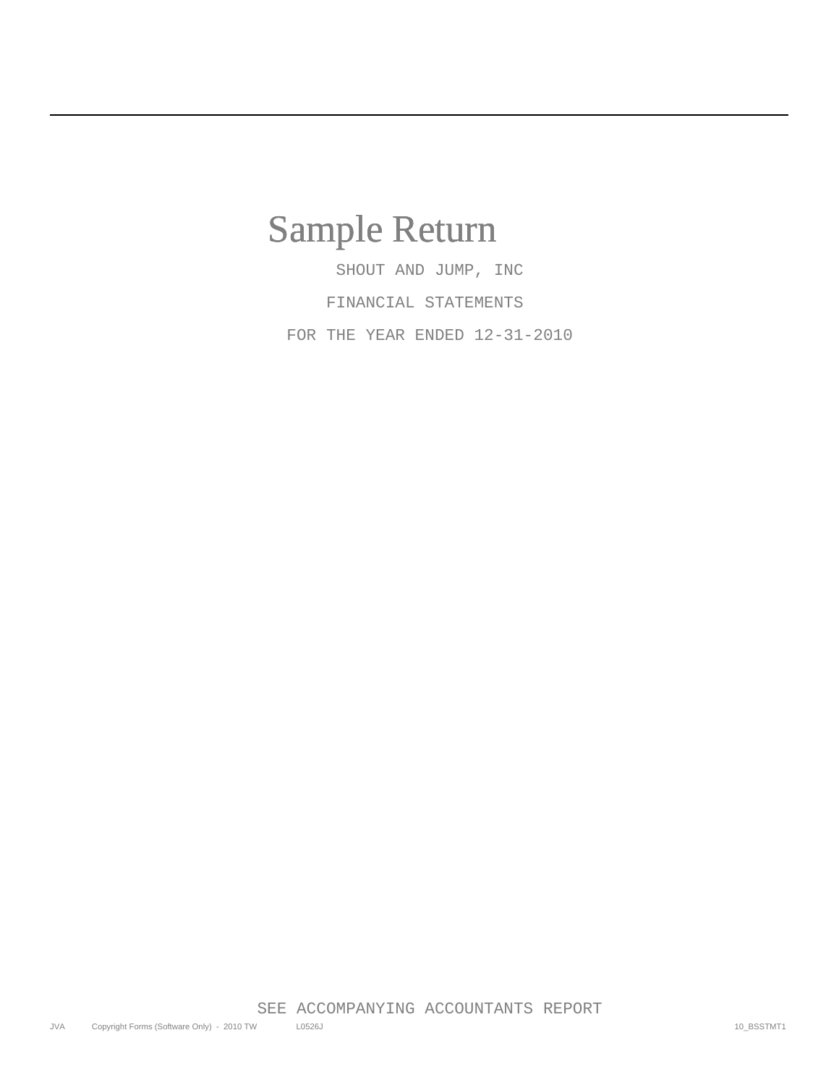## Sample Return

 SHOUT AND JUMP, INC FINANCIAL STATEMENTS FOR THE YEAR ENDED 12-31-2010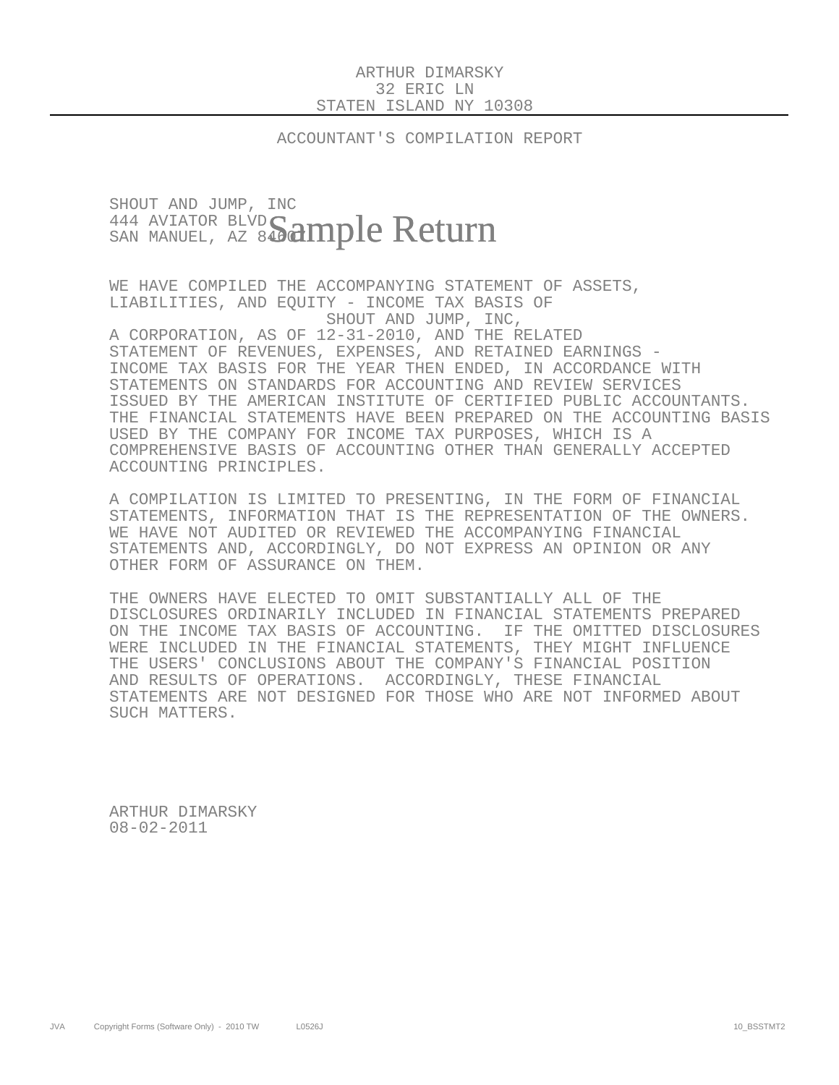## ARTHUR DIMARSKY 32 ERIC LN STATEN ISLAND NY 10308

ACCOUNTANT'S COMPILATION REPORT

## SHOUT AND JUMP, INC 444 AVIATOR BLVD  $_{{\tiny\rm SAN~MANUEL},~{\tiny\rm AZ}~{\tiny\rm 84} }$ ample Return

 WE HAVE COMPILED THE ACCOMPANYING STATEMENT OF ASSETS, LIABILITIES, AND EQUITY - INCOME TAX BASIS OF SHOUT AND JUMP, INC, A CORPORATION, AS OF 12-31-2010, AND THE RELATED STATEMENT OF REVENUES, EXPENSES, AND RETAINED EARNINGS - INCOME TAX BASIS FOR THE YEAR THEN ENDED, IN ACCORDANCE WITH STATEMENTS ON STANDARDS FOR ACCOUNTING AND REVIEW SERVICES ISSUED BY THE AMERICAN INSTITUTE OF CERTIFIED PUBLIC ACCOUNTANTS. THE FINANCIAL STATEMENTS HAVE BEEN PREPARED ON THE ACCOUNTING BASIS USED BY THE COMPANY FOR INCOME TAX PURPOSES, WHICH IS A COMPREHENSIVE BASIS OF ACCOUNTING OTHER THAN GENERALLY ACCEPTED ACCOUNTING PRINCIPLES.

 A COMPILATION IS LIMITED TO PRESENTING, IN THE FORM OF FINANCIAL STATEMENTS, INFORMATION THAT IS THE REPRESENTATION OF THE OWNERS. WE HAVE NOT AUDITED OR REVIEWED THE ACCOMPANYING FINANCIAL STATEMENTS AND, ACCORDINGLY, DO NOT EXPRESS AN OPINION OR ANY OTHER FORM OF ASSURANCE ON THEM.

 THE OWNERS HAVE ELECTED TO OMIT SUBSTANTIALLY ALL OF THE DISCLOSURES ORDINARILY INCLUDED IN FINANCIAL STATEMENTS PREPARED ON THE INCOME TAX BASIS OF ACCOUNTING. IF THE OMITTED DISCLOSURES WERE INCLUDED IN THE FINANCIAL STATEMENTS, THEY MIGHT INFLUENCE THE USERS' CONCLUSIONS ABOUT THE COMPANY'S FINANCIAL POSITION AND RESULTS OF OPERATIONS. ACCORDINGLY, THESE FINANCIAL STATEMENTS ARE NOT DESIGNED FOR THOSE WHO ARE NOT INFORMED ABOUT SUCH MATTERS.

 ARTHUR DIMARSKY 08-02-2011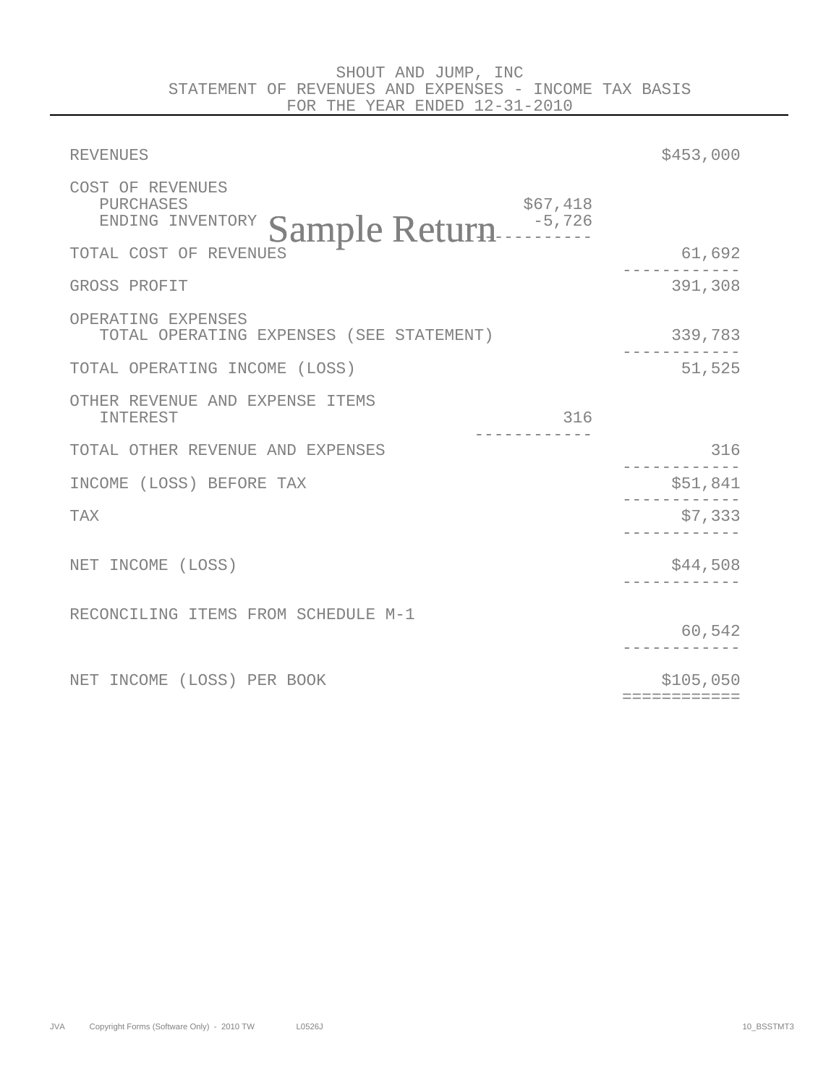| <b>REVENUES</b>                                                                | \$453,000                 |
|--------------------------------------------------------------------------------|---------------------------|
| COST OF REVENUES<br>\$67,418<br>PURCHASES<br>Sample Return<br>ENDING INVENTORY |                           |
| TOTAL COST OF REVENUES                                                         | 61,692                    |
| GROSS PROFIT                                                                   | 391,308                   |
| OPERATING EXPENSES<br>TOTAL OPERATING EXPENSES (SEE STATEMENT)                 | 339,783                   |
| TOTAL OPERATING INCOME (LOSS)                                                  | 51,525                    |
| OTHER REVENUE AND EXPENSE ITEMS<br>INTEREST<br>316                             |                           |
| TOTAL OTHER REVENUE AND EXPENSES                                               | 316                       |
| INCOME (LOSS) BEFORE TAX                                                       | \$51,841                  |
| <b>TAX</b>                                                                     | \$7,333                   |
| NET INCOME (LOSS)                                                              | \$44,508                  |
| RECONCILING ITEMS FROM SCHEDULE M-1                                            | 60,542                    |
| NET INCOME (LOSS) PER BOOK                                                     | \$105,050<br>============ |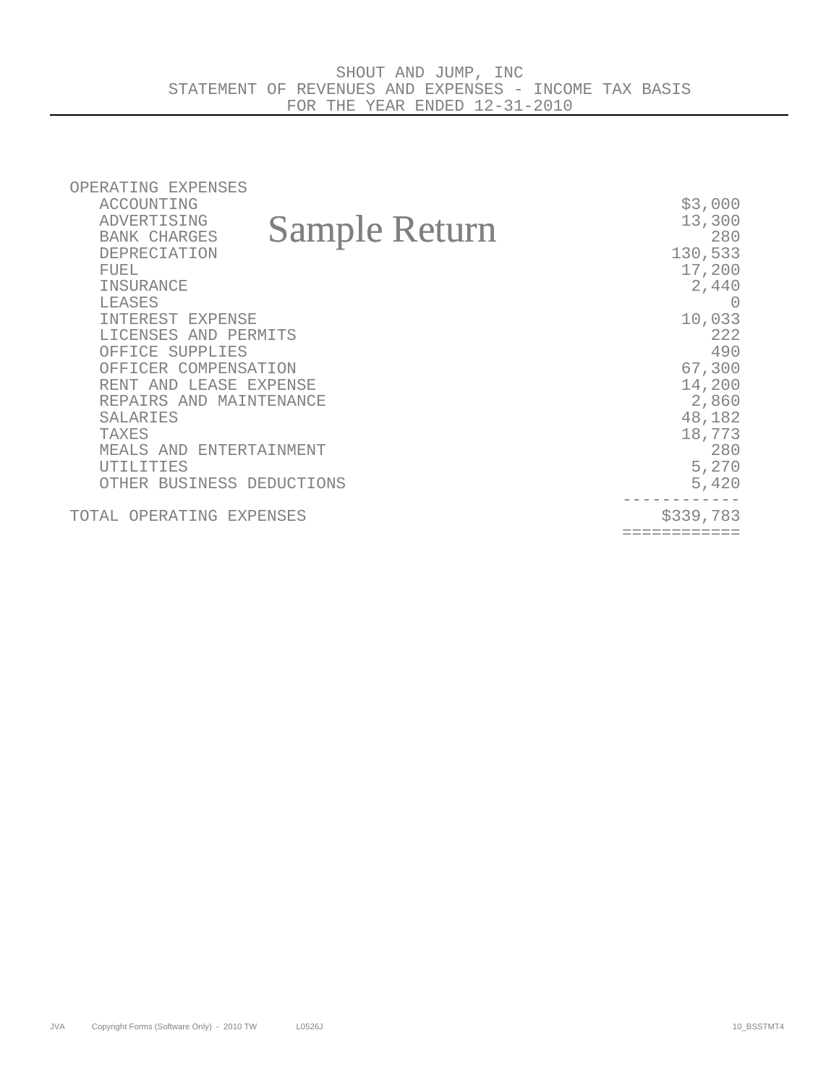| OPERATING EXPENSES                          |           |
|---------------------------------------------|-----------|
| ACCOUNTING                                  | \$3,000   |
| ADVERTISING                                 | 13,300    |
| <b>Sample Return</b><br><b>BANK CHARGES</b> | 280       |
| <b>DEPRECIATION</b>                         | 130,533   |
| <b>FUEL</b>                                 | 17,200    |
| INSURANCE                                   | 2,440     |
| <b>LEASES</b>                               |           |
| INTEREST EXPENSE                            | 10,033    |
| LICENSES AND PERMITS                        | 222       |
| OFFICE SUPPLIES                             | 490       |
| OFFICER COMPENSATION                        | 67,300    |
| RENT AND LEASE EXPENSE                      | 14,200    |
| REPAIRS AND MAINTENANCE                     | 2,860     |
| <b>SALARIES</b>                             | 48,182    |
| <b>TAXES</b>                                | 18,773    |
| MEALS AND ENTERTAINMENT                     | 280       |
| UTILITIES                                   | 5,270     |
| OTHER BUSINESS DEDUCTIONS                   | 5,420     |
| TOTAL OPERATING EXPENSES                    | \$339,783 |
|                                             |           |
|                                             |           |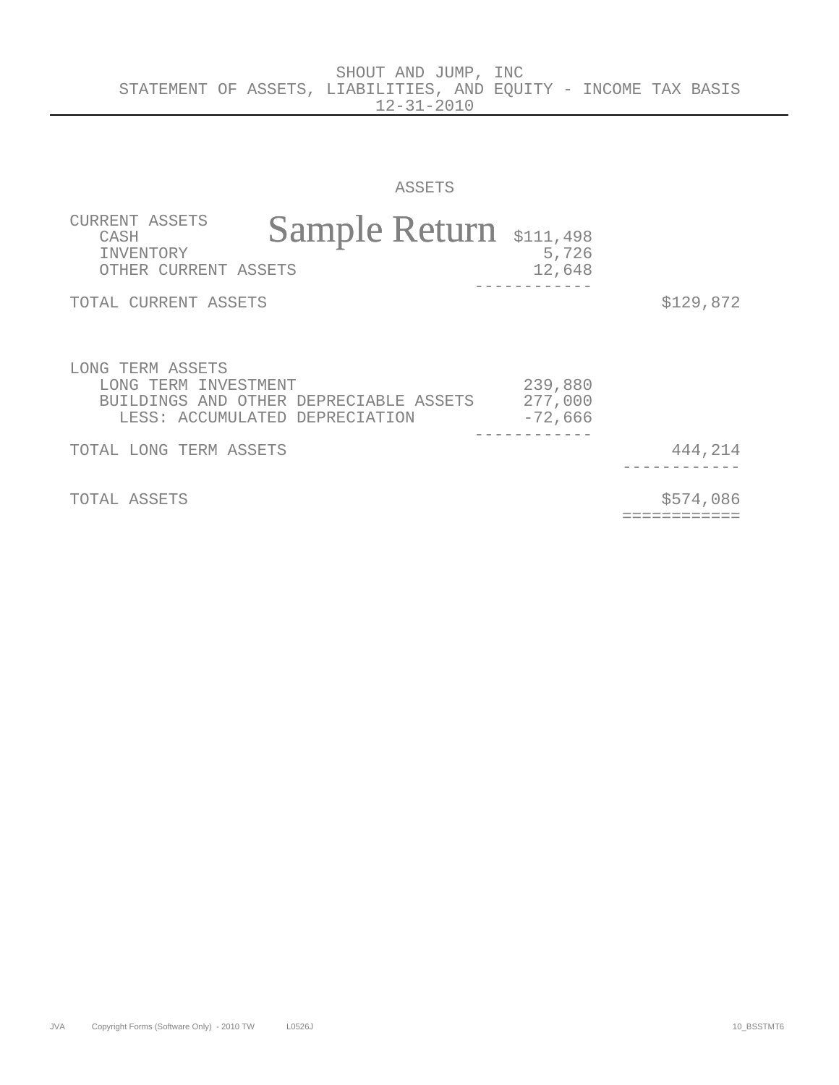SHOUT AND JUMP, INC

ASSETS

| CURRENT ASSETS<br>CASH<br><b>TNVENTORY</b><br>OTHER CURRENT ASSETS         | Sample Return \$111,498                | 5,726<br>12,648                                    |                           |
|----------------------------------------------------------------------------|----------------------------------------|----------------------------------------------------|---------------------------|
| TOTAL CURRENT ASSETS                                                       |                                        |                                                    | \$129,872                 |
| LONG TERM ASSETS<br>LONG TERM INVESTMENT<br>LESS: ACCUMULATED DEPRECIATION | BUILDINGS AND OTHER DEPRECIABLE ASSETS | 239,880<br>277,000<br>$-72,666$<br>_ _ _ _ _ _ _ _ |                           |
| TOTAL LONG TERM ASSETS                                                     |                                        |                                                    | 444,214                   |
| TOTAL ASSETS                                                               |                                        |                                                    | \$574,086<br>:=========== |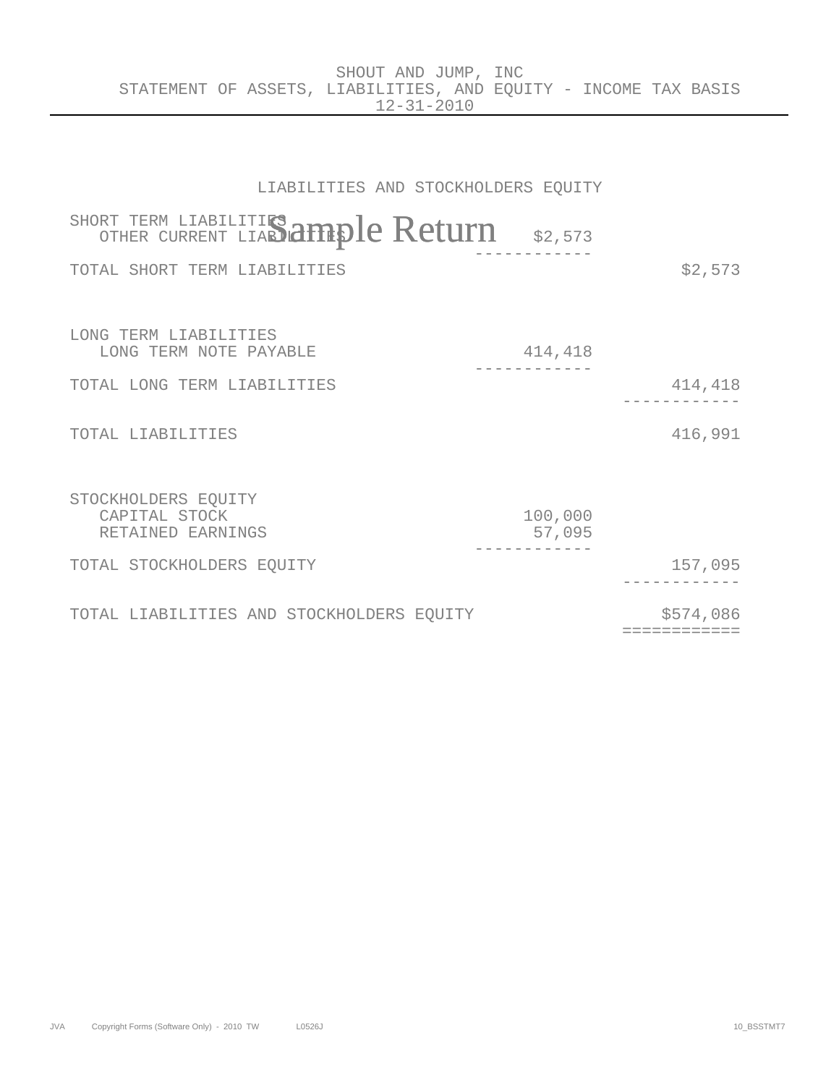|                                                                 |  | SHOUT AND JUMP, INC |                  |  |  |  |
|-----------------------------------------------------------------|--|---------------------|------------------|--|--|--|
| STATEMENT OF ASSETS, LIABILITIES, AND EOUITY - INCOME TAX BASIS |  |                     |                  |  |  |  |
|                                                                 |  |                     | $12 - 31 - 2010$ |  |  |  |

| LIABILITIES AND STOCKHOLDERS EQUITY                       |                   |                           |
|-----------------------------------------------------------|-------------------|---------------------------|
| SHORT TERM LIABILITIES Ample Return \$2,573               |                   |                           |
| TOTAL SHORT TERM LIABILITIES                              |                   | \$2,573                   |
|                                                           |                   |                           |
| LONG TERM LIABILITIES<br>LONG TERM NOTE PAYABLE           | 414,418           |                           |
| TOTAL LONG TERM LIABILITIES                               |                   | 414,418                   |
| TOTAL LIABILITIES                                         |                   | 416,991                   |
| STOCKHOLDERS EQUITY<br>CAPITAL STOCK<br>RETAINED EARNINGS | 100,000<br>57,095 |                           |
| TOTAL STOCKHOLDERS EQUITY                                 |                   | 157,095                   |
| TOTAL LIABILITIES AND STOCKHOLDERS EQUITY                 |                   | \$574,086<br>============ |